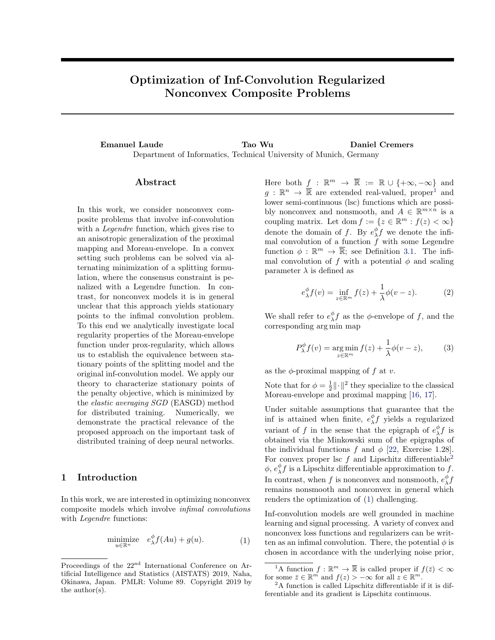# <span id="page-0-0"></span>Optimization of Inf-Convolution Regularized Nonconvex Composite Problems

Emanuel Laude Tao Wu Daniel Cremers Department of Informatics, Technical University of Munich, Germany

### Abstract

In this work, we consider nonconvex composite problems that involve inf-convolution with a Legendre function, which gives rise to an anisotropic generalization of the proximal mapping and Moreau-envelope. In a convex setting such problems can be solved via alternating minimization of a splitting formulation, where the consensus constraint is penalized with a Legendre function. In contrast, for nonconvex models it is in general unclear that this approach yields stationary points to the infimal convolution problem. To this end we analytically investigate local regularity properties of the Moreau-envelope function under prox-regularity, which allows us to establish the equivalence between stationary points of the splitting model and the original inf-convolution model. We apply our theory to characterize stationary points of the penalty objective, which is minimized by the elastic averaging SGD (EASGD) method for distributed training. Numerically, we demonstrate the practical relevance of the proposed approach on the important task of distributed training of deep neural networks.

# 1 Introduction

In this work, we are interested in optimizing nonconvex composite models which involve infimal convolutions with *Legendre* functions:

$$
\underset{u \in \mathbb{R}^n}{\text{minimize}} \quad e_{\lambda}^{\phi} f(Au) + g(u). \tag{1}
$$

Here both  $f : \mathbb{R}^m \to \overline{\mathbb{R}} := \mathbb{R} \cup \{+\infty, -\infty\}$  and  $g: \mathbb{R}^n \to \overline{\mathbb{R}}$  are extended real-valued, proper<sup>1</sup> and lower semi-continuous (lsc) functions which are possibly nonconvex and nonsmooth, and  $A \in \mathbb{R}^{m \times n}$  is a coupling matrix. Let dom  $f := \{ z \in \mathbb{R}^m : f(z) < \infty \}$ denote the domain of f. By  $e_{\lambda}^{\phi} f$  we denote the infimal convolution of a function  $\ddot{f}$  with some Legendre function  $\phi : \mathbb{R}^m \to \overline{\mathbb{R}}$ ; see Definition [3.1.](#page-2-0) The infimal convolution of f with a potential  $\phi$  and scaling parameter  $\lambda$  is defined as

$$
e_{\lambda}^{\phi} f(v) = \inf_{z \in \mathbb{R}^m} f(z) + \frac{1}{\lambda} \phi(v - z).
$$
 (2)

We shall refer to  $e^{\phi}_{\lambda} f$  as the  $\phi$ -envelope of f, and the corresponding arg min map

$$
P_{\lambda}^{\phi} f(v) = \underset{z \in \mathbb{R}^m}{\text{arg min}} f(z) + \frac{1}{\lambda} \phi(v - z), \quad (3)
$$

as the  $\phi$ -proximal mapping of f at v.

Note that for  $\phi = \frac{1}{2} || \cdot ||^2$  they specialize to the classical Moreau-envelope and proximal mapping [\[16,](#page-8-0) [17\]](#page-8-0).

Under suitable assumptions that guarantee that the inf is attained when finite,  $e_{\lambda}^{\phi} f$  yields a regularized variant of f in the sense that the epigraph of  $e_{\lambda}^{\phi} f$  is obtained via the Minkowski sum of the epigraphs of the individual functions f and  $\phi$  [\[22,](#page-8-0) Exercise 1.28]. For convex proper lsc  $f$  and Lipschitz differentiable<sup>2</sup>  $\phi, e_{\lambda}^{\phi} f$  is a Lipschitz differentiable approximation to  $f$ . In contrast, when  $f$  is nonconvex and nonsmooth,  $e_\lambda^\phi f$ remains nonsmooth and nonconvex in general which renders the optimization of (1) challenging.

Inf-convolution models are well grounded in machine learning and signal processing. A variety of convex and nonconvex loss functions and regularizers can be written as an infimal convolution. There, the potential  $\phi$  is chosen in accordance with the underlying noise prior,

Proceedings of the 22<sup>nd</sup> International Conference on Artificial Intelligence and Statistics (AISTATS) 2019, Naha, Okinawa, Japan. PMLR: Volume 89. Copyright 2019 by the author(s).

<sup>&</sup>lt;sup>1</sup>A function  $f : \mathbb{R}^m \to \overline{\mathbb{R}}$  is called proper if  $f(\bar{z}) < \infty$ for some  $\bar{z} \in \mathbb{R}^m$  and  $f(z) > -\infty$  for all  $z \in \mathbb{R}^m$ .

<sup>&</sup>lt;sup>2</sup>A function is called Lipschitz differentiable if it is differentiable and its gradient is Lipschitz continuous.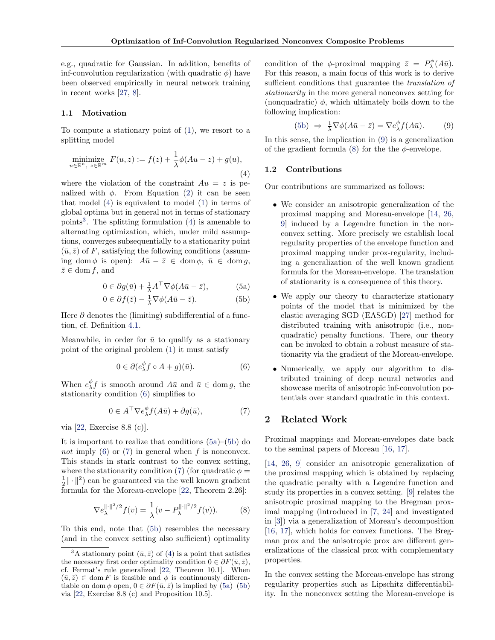<span id="page-1-0"></span>e.g., quadratic for Gaussian. In addition, benefits of inf-convolution regularization (with quadratic  $\phi$ ) have been observed empirically in neural network training in recent works [\[27,](#page-9-0) [8\]](#page-8-0).

#### 1.1 Motivation

To compute a stationary point of [\(1\)](#page-0-0), we resort to a splitting model

$$
\underset{u \in \mathbb{R}^n, \ z \in \mathbb{R}^m}{\text{minimize}} \ F(u, z) := f(z) + \frac{1}{\lambda} \phi(Au - z) + g(u),\tag{4}
$$

where the violation of the constraint  $Au = z$  is penalized with  $\phi$ . From Equation [\(2\)](#page-0-0) it can be seen that model (4) is equivalent to model [\(1\)](#page-0-0) in terms of global optima but in general not in terms of stationary points<sup>3</sup>. The splitting formulation  $(4)$  is amenable to alternating optimization, which, under mild assumptions, converges subsequentially to a stationarity point  $(\bar{u}, \bar{z})$  of F, satisfying the following conditions (assuming dom  $\phi$  is open):  $A\bar{u} - \bar{z} \in \text{dom }\phi, \bar{u} \in \text{dom }q,$  $\bar{z} \in \text{dom } f$ , and

$$
0 \in \partial g(\bar{u}) + \frac{1}{\lambda} A^{\top} \nabla \phi (A\bar{u} - \bar{z}), \tag{5a}
$$

$$
0 \in \partial f(\bar{z}) - \frac{1}{\lambda} \nabla \phi(A\bar{u} - \bar{z}). \tag{5b}
$$

Here  $\partial$  denotes the (limiting) subdifferential of a function, cf. Definition [4.1.](#page-3-0)

Meanwhile, in order for  $\bar{u}$  to qualify as a stationary point of the original problem [\(1\)](#page-0-0) it must satisfy

$$
0 \in \partial (e_{\lambda}^{\phi} f \circ A + g)(\bar{u}). \tag{6}
$$

When  $e^{\phi}_{\lambda} f$  is smooth around  $A\bar{u}$  and  $\bar{u} \in \text{dom } g$ , the stationarity condition (6) simplifies to

$$
0 \in A^{\top} \nabla e_{\lambda}^{\phi} f(A\bar{u}) + \partial g(\bar{u}), \tag{7}
$$

via [\[22,](#page-8-0) Exercise 8.8 (c)].

It is important to realize that conditions (5a)–(5b) do not imply (6) or (7) in general when f is nonconvex. This stands in stark contrast to the convex setting, where the stationarity condition (7) (for quadratic  $\phi =$  $\frac{1}{2} \|\cdot\|^2$ ) can be guaranteed via the well known gradient formula for the Moreau-envelope [\[22,](#page-8-0) Theorem 2.26]:

$$
\nabla e_{\lambda}^{\|\cdot\|^2/2} f(v) = \frac{1}{\lambda} (v - P_{\lambda}^{\|\cdot\|^2/2} f(v)).
$$
 (8)

To this end, note that (5b) resembles the necessary (and in the convex setting also sufficient) optimality

condition of the  $\phi$ -proximal mapping  $\bar{z} = P_{\lambda}^{\phi}(A\bar{u}).$ For this reason, a main focus of this work is to derive sufficient conditions that guarantee the *translation* of stationarity in the more general nonconvex setting for (nonquadratic)  $\phi$ , which ultimately boils down to the following implication:

(5b) 
$$
\Rightarrow \frac{1}{\lambda} \nabla \phi (A\bar{u} - \bar{z}) = \nabla e_{\lambda}^{\phi} f(A\bar{u}).
$$
 (9)

In this sense, the implication in (9) is a generalization of the gradient formula (8) for the the  $\phi$ -envelope.

#### 1.2 Contributions

Our contributions are summarized as follows:

- We consider an anisotropic generalization of the proximal mapping and Moreau-envelope [\[14,](#page-8-0) [26,](#page-9-0) [9\]](#page-8-0) induced by a Legendre function in the nonconvex setting. More precisely we establish local regularity properties of the envelope function and proximal mapping under prox-regularity, including a generalization of the well known gradient formula for the Moreau-envelope. The translation of stationarity is a consequence of this theory.
- We apply our theory to characterize stationary points of the model that is minimized by the elastic averaging SGD (EASGD) [\[27\]](#page-9-0) method for distributed training with anisotropic (i.e., nonquadratic) penalty functions. There, our theory can be invoked to obtain a robust measure of stationarity via the gradient of the Moreau-envelope.
- Numerically, we apply our algorithm to distributed training of deep neural networks and showcase merits of anisotropic inf-convolution potentials over standard quadratic in this context.

# 2 Related Work

Proximal mappings and Moreau-envelopes date back to the seminal papers of Moreau [\[16,](#page-8-0) [17\]](#page-8-0).

[\[14,](#page-8-0) [26,](#page-9-0) [9\]](#page-8-0) consider an anisotropic generalization of the proximal mapping which is obtained by replacing the quadratic penalty with a Legendre function and study its properties in a convex setting. [\[9\]](#page-8-0) relates the anisotropic proximal mapping to the Bregman proximal mapping (introduced in [\[7,](#page-8-0) [24\]](#page-8-0) and investigated in [\[3\]](#page-8-0)) via a generalization of Moreau's decomposition [\[16,](#page-8-0) [17\]](#page-8-0), which holds for convex functions. The Bregman prox and the anisotropic prox are different generalizations of the classical prox with complementary properties.

In the convex setting the Moreau-envelope has strong regularity properties such as Lipschitz differentiability. In the nonconvex setting the Moreau-envelope is

<sup>&</sup>lt;sup>3</sup>A stationary point  $(\bar{u}, \bar{z})$  of (4) is a point that satisfies the necessary first order optimality condition  $0 \in \partial F(\bar{u}, \bar{z}),$ cf. Fermat's rule generalized [\[22,](#page-8-0) Theorem 10.1]. When  $(\bar{u}, \bar{z}) \in \text{dom } F$  is feasible and  $\phi$  is continuously differentiable on dom  $\phi$  open,  $0 \in \partial F(\bar{u}, \bar{z})$  is implied by  $(5a)$ – $(5b)$ via [\[22,](#page-8-0) Exercise 8.8 (c) and Proposition 10.5].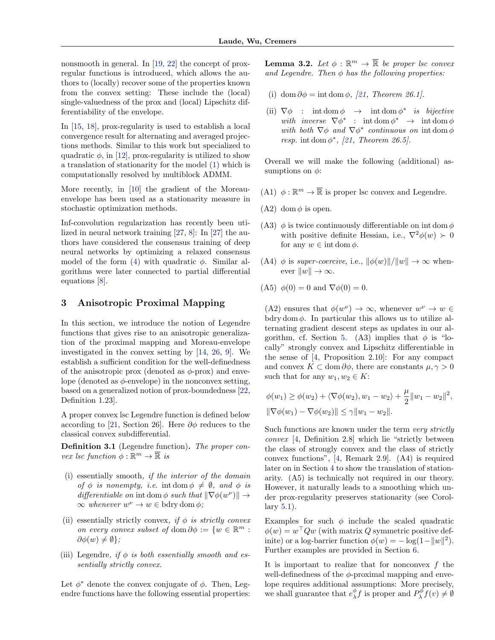<span id="page-2-0"></span>nonsmooth in general. In [\[19,](#page-8-0) [22\]](#page-8-0) the concept of proxregular functions is introduced, which allows the authors to (locally) recover some of the properties known from the convex setting: These include the (local) single-valuedness of the prox and (local) Lipschitz differentiability of the envelope.

In [\[15,](#page-8-0) [18\]](#page-8-0), prox-regularity is used to establish a local convergence result for alternating and averaged projections methods. Similar to this work but specialized to quadratic  $\phi$ , in [\[12\]](#page-8-0), prox-regularity is utilized to show a translation of stationarity for the model [\(1\)](#page-0-0) which is computationally resolved by multiblock ADMM.

More recently, in [\[10\]](#page-8-0) the gradient of the Moreauenvelope has been used as a stationarity measure in stochastic optimization methods.

Inf-convolution regularization has recently been utilized in neural network training [\[27,](#page-9-0) [8\]](#page-8-0): In [\[27\]](#page-9-0) the authors have considered the consensus training of deep neural networks by optimizing a relaxed consensus model of the form [\(4\)](#page-1-0) with quadratic  $\phi$ . Similar algorithms were later connected to partial differential equations [\[8\]](#page-8-0).

# 3 Anisotropic Proximal Mapping

In this section, we introduce the notion of Legendre functions that gives rise to an anisotropic generalization of the proximal mapping and Moreau-envelope investigated in the convex setting by [\[14,](#page-8-0) [26,](#page-9-0) [9\]](#page-8-0). We establish a sufficient condition for the well-definedness of the anisotropic prox (denoted as  $\phi$ -prox) and envelope (denoted as  $\phi$ -envelope) in the nonconvex setting, based on a generalized notion of prox-boundedness [\[22,](#page-8-0) Definition 1.23].

A proper convex lsc Legendre function is defined below according to [\[21,](#page-8-0) Section 26]. Here  $\partial \phi$  reduces to the classical convex subdifferential.

Definition 3.1 (Legendre function). The proper convex lsc function  $\phi : \mathbb{R}^m \to \overline{\mathbb{R}}$  is

- (i) essentially smooth, if the interior of the domain of  $\phi$  is nonempty, i.e. int dom  $\phi \neq \emptyset$ , and  $\phi$  is differentiable on int dom  $\phi$  such that  $\|\nabla \phi(w^{\nu})\| \rightarrow$  $\infty$  whenever  $w^{\nu} \to w \in b$ dry dom  $\phi$ ;
- (ii) essentially strictly convex, if  $\phi$  is strictly convex on every convex subset of dom  $\partial \phi := \{w \in \mathbb{R}^m :$  $\partial \phi(w) \neq \emptyset$ :
- (iii) Legendre, if  $\phi$  is both essentially smooth and essentially strictly convex.

Let  $\phi^*$  denote the convex conjugate of  $\phi$ . Then, Legendre functions have the following essential properties: **Lemma 3.2.** Let  $\phi : \mathbb{R}^m \to \overline{\mathbb{R}}$  be proper lsc convex and Legendre. Then  $\phi$  has the following properties:

- (i) dom  $\partial \phi = \text{int dom }\phi$ , [\[21,](#page-8-0) Theorem 26.1].
- (ii)  $\nabla \phi$  : int dom  $\phi \rightarrow$  int dom  $\phi^*$  is bijective with inverse  $\nabla \phi^*$  : int dom  $\phi^* \rightarrow \text{int dom }\phi$ with both  $\nabla \phi$  and  $\nabla \phi^*$  continuous on interval resp. int dom  $\phi^*$ , [\[21,](#page-8-0) Theorem 26.5].

Overall we will make the following (additional) assumptions on  $\phi$ :

- (A1)  $\phi : \mathbb{R}^m \to \overline{\mathbb{R}}$  is proper lsc convex and Legendre.
- (A2) dom  $\phi$  is open.
- (A3)  $\phi$  is twice continuously differentiable on int dom  $\phi$ with positive definite Hessian, i.e.,  $\nabla^2 \phi(w) \succ 0$ for any  $w \in \text{int dom } \phi$ .
- (A4)  $\phi$  is super-coercive, i.e.,  $\|\phi(w)\|/\|w\| \to \infty$  whenever  $\|w\| \to \infty$ .
- (A5)  $\phi(0) = 0$  and  $\nabla \phi(0) = 0$ .

(A2) ensures that  $\phi(w^{\nu}) \to \infty$ , whenever  $w^{\nu} \to w \in$ bdry dom  $\phi$ . In particular this allows us to utilize alternating gradient descent steps as updates in our al-gorithm, cf. Section [5.](#page-4-0) (A3) implies that  $\phi$  is "locally" strongly convex and Lipschitz differentiable in the sense of [\[4,](#page-8-0) Proposition 2.10]: For any compact and convex  $K \subset \text{dom }\partial \phi$ , there are constants  $\mu, \gamma > 0$ such that for any  $w_1, w_2 \in K$ :

$$
\phi(w_1) \ge \phi(w_2) + \langle \nabla \phi(w_2), w_1 - w_2 \rangle + \frac{\mu}{2} ||w_1 - w_2||^2,
$$
  

$$
||\nabla \phi(w_1) - \nabla \phi(w_2)|| \le \gamma ||w_1 - w_2||.
$$

Such functions are known under the term very strictly convex [\[4,](#page-8-0) Definition 2.8] which lie "strictly between the class of strongly convex and the class of strictly convex functions", [\[4,](#page-8-0) Remark 2.9]. (A4) is required later on in Section [4](#page-3-0) to show the translation of stationarity. (A5) is technically not required in our theory. However, it naturally leads to a smoothing which under prox-regularity preserves stationarity (see Corollary [5.1\)](#page-5-0).

Examples for such  $\phi$  include the scaled quadratic  $\phi(w) = w^{\top} Q w$  (with matrix Q symmetric positive definite) or a log-barrier function  $\phi(w) = -\log(1 - ||w||^2)$ . Further examples are provided in Section [6.](#page-6-0)

It is important to realize that for nonconvex  $f$  the well-definedness of the  $\phi$ -proximal mapping and envelope requires additional assumptions: More precisely, we shall guarantee that  $e_{\lambda}^{\phi} f$  is proper and  $P_{\lambda}^{\phi} f(v) \neq \emptyset$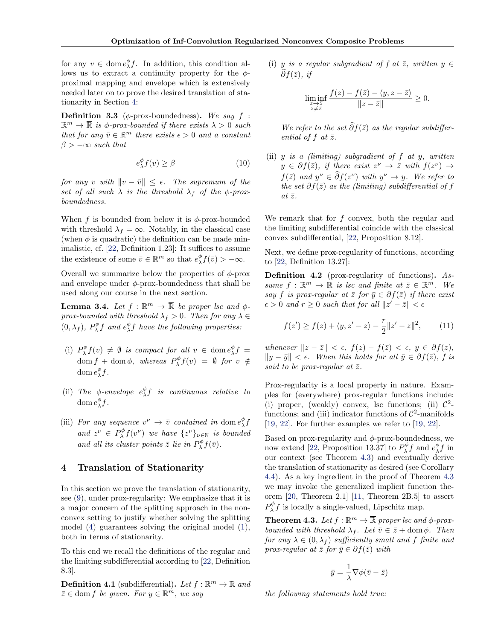<span id="page-3-0"></span>for any  $v \in \text{dom } e_{\lambda}^{\phi} f$ . In addition, this condition allows us to extract a continuity property for the  $\phi$ proximal mapping and envelope which is extensively needed later on to prove the desired translation of stationarity in Section 4:

**Definition 3.3** ( $\phi$ -prox-boundedness). We say  $f$  :  $\mathbb{R}^m \to \overline{\mathbb{R}}$  is  $\phi$ -prox-bounded if there exists  $\lambda > 0$  such that for any  $\bar{v} \in \mathbb{R}^m$  there exists  $\epsilon > 0$  and a constant  $\beta > -\infty$  such that

$$
e_{\lambda}^{\phi} f(v) \ge \beta \tag{10}
$$

for any v with  $\|v - \bar{v}\| \leq \epsilon$ . The supremum of the set of all such  $\lambda$  is the threshold  $\lambda_f$  of the  $\phi$ -proxboundedness.

When f is bounded from below it is  $\phi$ -prox-bounded with threshold  $\lambda_f = \infty$ . Notably, in the classical case (when  $\phi$  is quadratic) the definition can be made minimalistic, cf. [\[22,](#page-8-0) Definition 1.23]: It suffices to assume the existence of some  $\bar{v} \in \mathbb{R}^m$  so that  $e_{\lambda}^{\phi} f(\bar{v}) > -\infty$ .

Overall we summarize below the properties of  $\phi$ -prox and envelope under  $\phi$ -prox-boundedness that shall be used along our course in the next section.

**Lemma 3.4.** Let  $f : \mathbb{R}^m \to \overline{\mathbb{R}}$  be proper lsc and  $\phi$ prox-bounded with threshold  $\lambda_f > 0$ . Then for any  $\lambda \in$  $(0, \lambda_f)$ ,  $P_{\lambda}^{\phi} f$  and  $e_{\lambda}^{\phi} f$  have the following properties:

- (i)  $P^{\phi}_{\lambda} f(v) \neq \emptyset$  is compact for all  $v \in \text{dom } e^{\phi}_{\lambda} f =$  $\text{dom } f + \text{dom } \phi, \text{ whereas } P^{\phi}_{\lambda} f(v) = \emptyset \text{ for } v \notin$ dom  $e_{\lambda}^{\phi}f$ .
- (ii) The  $\phi$ -envelope  $e_{\lambda}^{\phi}f$  is continuous relative to dom  $e_{\lambda}^{\phi}f$ .
- (iii) For any sequence  $v^{\nu} \rightarrow \bar{v}$  contained in dom  $e^{\phi}_{\lambda} f$ and  $z^{\nu} \in P^{\phi}_{\lambda} f(v^{\nu})$  we have  $\{z^{\nu}\}_{\nu \in \mathbb{N}}$  is bounded and all its cluster points  $\bar{z}$  lie in  $P_{\lambda}^{\phi} f(\bar{v})$ .

#### 4 Translation of Stationarity

In this section we prove the translation of stationarity, see [\(9\)](#page-1-0), under prox-regularity: We emphasize that it is a major concern of the splitting approach in the nonconvex setting to justify whether solving the splitting model [\(4\)](#page-1-0) guarantees solving the original model [\(1\)](#page-0-0), both in terms of stationarity.

To this end we recall the definitions of the regular and the limiting subdifferential according to [\[22,](#page-8-0) Definition 8.3].

**Definition 4.1** (subdifferential). Let  $f : \mathbb{R}^m \to \overline{\mathbb{R}}$  and  $\bar{z} \in \text{dom } f$  be given. For  $y \in \mathbb{R}^m$ , we say

(i) y is a regular subgradient of f at  $\overline{z}$ , written  $y \in$  $\widehat{\partial} f(\bar{z}), \; \text{if}$ 

$$
\liminf_{\substack{z\to \bar z\\ z\neq \bar z}} \frac{f(z)-f(\bar z)-\langle y,z-\bar z\rangle}{\|z-\bar z\|}\geq 0.
$$

We refer to the set  $\widehat{\partial} f(\bar{z})$  as the regular subdifferential of  $f$  at  $\overline{z}$ .

(ii)  $y$  is a (limiting) subgradient of  $f$  at  $y$ , written  $y \in \partial f(\bar{z})$ , if there exist  $z^{\nu} \to \bar{z}$  with  $f(z^{\nu}) \to$  $f(\bar{z})$  and  $y^{\nu} \in \partial f(z^{\nu})$  with  $y^{\nu} \to y$ . We refer to the set  $\partial f(\bar{z})$  as the (limiting) subdifferential of f at  $\bar{z}$ .

We remark that for  $f$  convex, both the regular and the limiting subdifferential coincide with the classical convex subdifferential, [\[22,](#page-8-0) Proposition 8.12].

Next, we define prox-regularity of functions, according to [\[22,](#page-8-0) Definition 13.27]:

Definition 4.2 (prox-regularity of functions). Assume  $f: \mathbb{R}^m \to \overline{\mathbb{R}}$  is lsc and finite at  $\overline{z} \in \mathbb{R}^m$ . We say f is prox-regular at  $\overline{z}$  for  $\overline{y} \in \partial f(\overline{z})$  if there exist  $\epsilon > 0$  and  $r \geq 0$  such that for all  $||z' - \bar{z}|| < \epsilon$ 

$$
f(z') \ge f(z) + \langle y, z' - z \rangle - \frac{r}{2} ||z' - z||^2, \qquad (11)
$$

whenever  $||z - \bar{z}|| < \epsilon$ ,  $f(z) - f(\bar{z}) < \epsilon$ ,  $y \in \partial f(z)$ ,  $||y - \bar{y}|| < \epsilon$ . When this holds for all  $\bar{y} ∈ ∂f(z)$ , f is said to be prox-regular at  $\bar{z}$ .

Prox-regularity is a local property in nature. Examples for (everywhere) prox-regular functions include: (i) proper, (weakly) convex, lsc functions; (ii)  $\mathcal{C}^2$ functions; and (iii) indicator functions of  $\mathcal{C}^2$ -manifolds [\[19,](#page-8-0) [22\]](#page-8-0). For further examples we refer to [\[19,](#page-8-0) [22\]](#page-8-0).

Based on prox-regularity and  $\phi$ -prox-boundedness, we now extend [\[22,](#page-8-0) Proposition 13.37] to  $P_{\lambda}^{\phi} f$  and  $e_{\lambda}^{\phi} f$  in our context (see Theorem 4.3) and eventually derive the translation of stationarity as desired (see Corollary [4.4\)](#page-4-0). As a key ingredient in the proof of Theorem 4.3 we may invoke the generalized implicit function theorem [\[20,](#page-8-0) Theorem 2.1] [\[11,](#page-8-0) Theorem 2B.5] to assert  $P_{\lambda}^{\phi} f$  is locally a single-valued, Lipschitz map.

**Theorem 4.3.** Let  $f : \mathbb{R}^m \to \overline{\mathbb{R}}$  proper lsc and  $\phi$ -proxbounded with threshold  $\lambda_f$ . Let  $\bar{v} \in \bar{z} + \text{dom }\phi$ . Then for any  $\lambda \in (0, \lambda_f)$  sufficiently small and f finite and prox-regular at  $\bar{z}$  for  $\bar{y} \in \partial f(\bar{z})$  with

$$
\bar{y} = \frac{1}{\lambda} \nabla \phi(\bar{v} - \bar{z})
$$

the following statements hold true: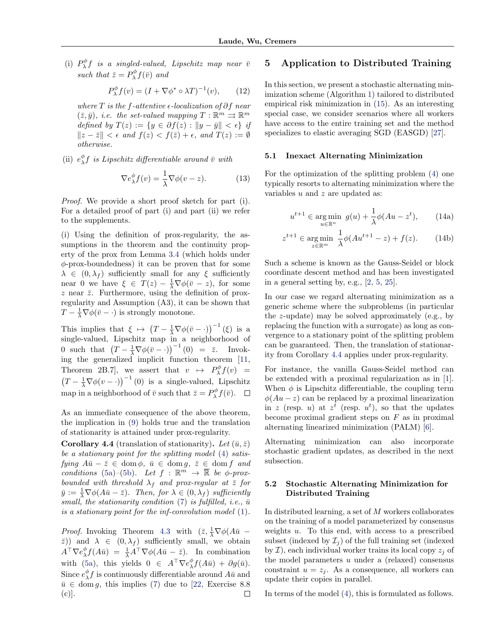<span id="page-4-0"></span>(i)  $P_\lambda^\phi f$  is a singled-valued, Lipschitz map near  $\bar{v}$ such that  $\bar{z} = P^{\phi}_{\lambda} f(\bar{v})$  and

$$
P_{\lambda}^{\phi} f(v) = (I + \nabla \phi^* \circ \lambda T)^{-1}(v), \qquad (12)
$$

where  $T$  is the f-attentive  $\epsilon$ -localization of  $\partial f$  near  $(\bar{z}, \bar{y}),$  i.e. the set-valued mapping  $T : \mathbb{R}^m \rightrightarrows \mathbb{R}^m$ defined by  $T(z) := \{y \in \partial f(z) : ||y - \bar{y}|| < \epsilon\}$  if  $||z - \bar{z}|| < \epsilon$  and  $f(z) < f(\bar{z}) + \epsilon$ , and  $T(z) := \emptyset$ otherwise.

(ii)  $e^{\phi}_{\lambda} f$  is Lipschitz differentiable around  $\bar{v}$  with

$$
\nabla e_{\lambda}^{\phi} f(v) = \frac{1}{\lambda} \nabla \phi(v - z). \tag{13}
$$

Proof. We provide a short proof sketch for part (i). For a detailed proof of part (i) and part (ii) we refer to the supplements.

(i) Using the definition of prox-regularity, the assumptions in the theorem and the continuity property of the prox from Lemma [3.4](#page-3-0) (which holds under  $\phi$ -prox-boundedness) it can be proven that for some  $\lambda \in (0, \lambda_f)$  sufficiently small for any ξ sufficiently near 0 we have  $\xi \in T(z) - \frac{1}{\lambda} \nabla \phi(\bar{v} - z)$ , for some  $z$  near  $\bar{z}$ . Furthermore, using the definition of proxregularity and Assumption (A3), it can be shown that  $T - \frac{1}{\lambda} \nabla \phi(\bar{v} - \cdot)$  is strongly monotone.

This implies that  $\xi \mapsto (T - \frac{1}{\lambda} \nabla \phi(\bar{v} - \cdot))^{-1} (\xi)$  is a single-valued, Lipschitz map in a neighborhood of 0 such that  $(T - \frac{1}{\lambda} \nabla \phi(\bar{v} - \cdot))^{-1} (0) = \bar{z}$ . Invoking the generalized implicit function theorem [\[11,](#page-8-0) Theorem 2B.7, we assert that  $v \mapsto P_{\lambda}^{\phi} f(v) =$  $(T - \frac{1}{\lambda} \nabla \phi(v - \cdot))^{-1}$  (0) is a single-valued, Lipschitz map in a neighborhood of  $\bar{v}$  such that  $\bar{z} = P^{\phi}_{\lambda} f(\bar{v})$ .

As an immediate consequence of the above theorem, the implication in [\(9\)](#page-1-0) holds true and the translation of stationarity is attained under prox-regularity.

**Corollary 4.4** (translation of stationarity). Let  $(\bar{u}, \bar{z})$ be a stationary point for the splitting model [\(4\)](#page-1-0) satisfying  $A\bar{u} - \bar{z} \in \text{dom }\phi, \ \bar{u} \in \text{dom }g, \ \bar{z} \in \text{dom }f \ \text{and}$ conditions [\(5a\)](#page-1-0)–[\(5b\)](#page-1-0). Let  $f : \mathbb{R}^m \to \overline{\mathbb{R}}$  be  $\phi$ -proxbounded with threshold  $\lambda_f$  and prox-regular at  $\bar{z}$  for  $\bar{y} := \frac{1}{\lambda} \nabla \phi(A\bar{u} - \bar{z}).$  Then, for  $\lambda \in (0, \lambda_f)$  sufficiently small, the stationarity condition  $(7)$  is fulfilled, i.e.,  $\bar{u}$ is a stationary point for the inf-convolution model [\(1\)](#page-0-0).

*Proof.* Invoking Theorem [4.3](#page-3-0) with  $(\bar{z}, \frac{1}{\lambda} \nabla \phi (A\bar{u} (\bar{z})$ ) and  $\lambda \in (0, \lambda_f)$  sufficiently small, we obtain  $A^{\top} \nabla e_{\lambda}^{\phi} f(A\bar{u}) = \frac{1}{\lambda} A^{\top} \nabla \phi(A\bar{u} - \bar{z}).$  In combination with [\(5a\)](#page-1-0), this yields  $0 \in A^{\top} \nabla e_{\lambda}^{\phi} f(A\bar{u}) + \partial g(\bar{u}).$ Since  $e^{\phi}_{\lambda} f$  is continuously differentiable around  $A \bar{u}$  and  $\bar{u} \in \text{dom } g$ , this implies [\(7\)](#page-1-0) due to [\[22,](#page-8-0) Exercise 8.8 (c)].  $\Box$ 

### 5 Application to Distributed Training

In this section, we present a stochastic alternating minimization scheme (Algorithm [1\)](#page-5-0) tailored to distributed empirical risk minimization in [\(15\)](#page-5-0). As an interesting special case, we consider scenarios where all workers have access to the entire training set and the method specializes to elastic averaging SGD (EASGD) [\[27\]](#page-9-0).

#### 5.1 Inexact Alternating Minimization

For the optimization of the splitting problem [\(4\)](#page-1-0) one typically resorts to alternating minimization where the variables  $u$  and  $z$  are updated as:

$$
u^{t+1} \in \underset{u \in \mathbb{R}^n}{\text{arg min }} g(u) + \frac{1}{\lambda} \phi(Au - z^t), \qquad (14a)
$$

$$
z^{t+1} \in \underset{z \in \mathbb{R}^m}{\text{arg min}} \ \frac{1}{\lambda} \phi(Au^{t+1} - z) + f(z). \tag{14b}
$$

Such a scheme is known as the Gauss-Seidel or block coordinate descent method and has been investigated in a general setting by, e.g., [\[2,](#page-8-0) [5,](#page-8-0) [25\]](#page-8-0).

In our case we regard alternating minimization as a generic scheme where the subproblems (in particular the z-update) may be solved approximately (e.g., by replacing the function with a surrogate) as long as convergence to a stationary point of the splitting problem can be guaranteed. Then, the translation of stationarity from Corollary 4.4 applies under prox-regularity.

For instance, the vanilla Gauss-Seidel method can be extended with a proximal regularization as in [\[1\]](#page-8-0). When  $\phi$  is Lipschitz differentiable, the coupling term  $\phi(Au - z)$  can be replaced by a proximal linearization in z (resp. u) at  $z^t$  (resp.  $u^t$ ), so that the updates become proximal gradient steps on  $F$  as in proximal alternating linearized minimization (PALM) [\[6\]](#page-8-0).

Alternating minimization can also incorporate stochastic gradient updates, as described in the next subsection.

### 5.2 Stochastic Alternating Minimization for Distributed Training

In distributed learning, a set of M workers collaborates on the training of a model parameterized by consensus weights  $u$ . To this end, with access to a prescribed subset (indexed by  $\mathcal{I}_i$ ) of the full training set (indexed by  $\mathcal{I}$ ), each individual worker trains its local copy  $z_i$  of the model parameters  $u$  under a (relaxed) consensus constraint  $u = z_i$ . As a consequence, all workers can update their copies in parallel.

In terms of the model [\(4\)](#page-1-0), this is formulated as follows.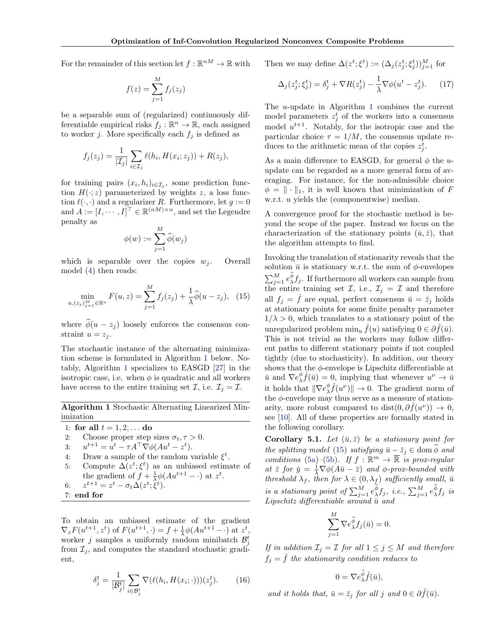<span id="page-5-0"></span>For the remainder of this section let  $f : \mathbb{R}^{nM} \to \mathbb{R}$  with

$$
f(z) = \sum_{j=1}^{M} f_j(z_j)
$$

be a separable sum of (regularized) continuously differentiable empirical risks  $f_j : \mathbb{R}^n \to \mathbb{R}$ , each assigned to worker j. More specifically each  $f_i$  is defined as

$$
f_j(z_j) = \frac{1}{|\mathcal{I}_j|} \sum_{i \in \mathcal{I}_j} \ell(h_i, H(x_i; z_j)) + R(z_j),
$$

for training pairs  $(x_i, h_i)_{i \in \mathcal{I}_j}$ , some prediction function  $H(\cdot; z)$  parameterized by weights z, a loss function  $\ell(\cdot, \cdot)$  and a regularizer R. Furthermore, let  $g := 0$ and  $A := [I, \dots, I]^\top \in \mathbb{R}^{(nM)\times n}$ , and set the Legendre penalty as

$$
\phi(w) := \sum_{j=1}^M \widehat{\phi}(w_j)
$$

which is separable over the copies  $w_i$ . Overall model [\(4\)](#page-1-0) then reads:

$$
\min_{u,(z_j)_{j=1}^M \in \mathbb{R}^n} F(u,z) = \sum_{j=1}^M f_j(z_j) + \frac{1}{\lambda} \widehat{\phi}(u-z_j), \tag{15}
$$

where  $\hat{\phi}(u - z_i)$  loosely enforces the consensus constraint  $u = z_i$ .

The stochastic instance of the alternating minimization scheme is formulated in Algorithm 1 below. Notably, Algorithm 1 specializes to EASGD [\[27\]](#page-9-0) in the isotropic case, i.e. when  $\phi$  is quadratic and all workers have access to the entire training set  $\mathcal{I}$ , i.e.  $\mathcal{I}_j = \mathcal{I}$ .

Algorithm 1 Stochastic Alternating Linearized Minimization

1: for all  $t = 1, 2, ...$  do

2: Choose proper step sizes 
$$
\sigma_t
$$
,  $\tau > 0$ .

- 3:  $u^{t+1} = u^t \tau A^\top \nabla \phi (Au^t z^t).$
- 4: Draw a sample of the random variable  $\xi^t$ .
- 5: Compute  $\Delta(z^t; \xi^t)$  as an unbiased estimate of the gradient of  $f + \frac{1}{\lambda} \phi(Au^{t+1} - \cdot)$  at  $z^t$ .
- $6:$  $t+1 = z^t - \sigma_t \Delta(z^t; \hat{\xi}^t).$
- 7: end for

To obtain an unbiased estimate of the gradient  $\nabla_z F(u^{t+1}, z^t)$  of  $F(u^{t+1}, \cdot) = f + \frac{1}{\lambda} \phi(Au^{t+1} - \cdot)$  at  $z^t$ , worker *j* samples a uniformly random minibatch  $\mathcal{B}_j^t$ from  $\mathcal{I}_j$ , and computes the standard stochastic gradient,

$$
\delta_j^t = \frac{1}{|\mathcal{B}_j^t|} \sum_{i \in \mathcal{B}_j^t} \nabla(\ell(h_i, H(x_i; \cdot)))(z_j^t). \tag{16}
$$

Then we may define  $\Delta(z^t; \xi^t) := (\Delta_j(z_j^t; \xi_j^t))_{j=1}^M$  for

$$
\Delta_j(z_j^t; \xi_j^t) = \delta_j^t + \nabla R(z_j^t) - \frac{1}{\lambda} \nabla \phi(u^t - z_j^t). \tag{17}
$$

The u-update in Algorithm 1 combines the current model parameters  $z_j^t$  of the workers into a consensus model  $u^{t+1}$ . Notably, for the isotropic case and the particular choice  $\tau = 1/M$ , the consensus update reduces to the arithmetic mean of the copies  $z_j^t$ .

As a main difference to EASGD, for general  $\phi$  the uupdate can be regarded as a more general form of averaging. For instance, for the non-admissible choice  $\phi = \|\cdot\|_1$ , it is well known that minimization of F w.r.t. *u* yields the (componentwise) median.

A convergence proof for the stochastic method is beyond the scope of the paper. Instead we focus on the characterization of the stationary points  $(\bar{u}, \bar{z})$ , that the algorithm attempts to find.

Invoking the translation of stationarity reveals that the solution  $\bar{u}$  is stationary w.r.t. the sum of  $\phi$ -envelopes  $\sum_{j=1}^{M} e_{\lambda}^{\phi} f_j$ . If furthermore all workers can sample from the entire training set  $\mathcal{I}$ , i.e.,  $\mathcal{I}_j = \mathcal{I}$  and therefore all  $f_i = \overline{f}$  are equal, perfect consensus  $\overline{u} = \overline{z}_i$  holds at stationary points for some finite penalty parameter  $1/\lambda > 0$ , which translates to a stationary point of the unregularized problem  $\min_u \hat{f}(u)$  satisfying  $0 \in \partial \hat{f}(\bar{u})$ . This is not trivial as the workers may follow different paths to different stationary points if not coupled tightly (due to stochasticity). In addition, our theory shows that the  $\phi$ -envelope is Lipschitz differentiable at  $\bar{u}$  and  $\nabla e_{\lambda}^{\phi} \hat{f}(\bar{u}) = 0$ , implying that whenever  $u^{\nu} \to \bar{u}$ it holds that  $\|\nabla e_{\lambda}^{\phi}\hat{f}(u^{\nu})\| \to 0$ . The gradient norm of the  $\phi$ -envelope may thus serve as a measure of stationarity, more robust compared to dist $(0, \partial \hat{f}(u^{\nu})) \rightarrow 0$ , see [\[10\]](#page-8-0). All of these properties are formally stated in the following corollary.

Corollary 5.1. Let  $(\bar{u}, \bar{z})$  be a stationary point for the splitting model (15) satisfying  $\bar{u} - \bar{z}_j \in \text{dom} \,\phi$  and conditions [\(5a\)](#page-1-0)–[\(5b\)](#page-1-0). If  $f : \mathbb{R}^m \to \overline{\mathbb{R}}$  is prox-regular at  $\bar{z}$  for  $\bar{y} = \frac{1}{\lambda} \nabla \phi (A\bar{u} - \bar{z})$  and  $\phi$ -prox-bounded with threshold  $\lambda_f$ , then for  $\lambda \in (0, \lambda_f)$  sufficiently small,  $\bar{u}$ is a stationary point of  $\sum_{j=1}^M e_\lambda^{\phi} f_j$ , i.e.,  $\sum_{j=1}^M e_\lambda^{\phi} f_j$  is Lipschitz differentiable around  $\bar{u}$  and

$$
\sum_{j=1}^{M} \nabla e_{\lambda}^{\widehat{\phi}} f_j(\bar{u}) = 0.
$$

If in addition  $\mathcal{I}_j = \mathcal{I}$  for all  $1 \leq j \leq M$  and therefore  $f_j = \hat{f}$  the stationarity condition reduces to

$$
0 = \nabla e_{\lambda}^{\widehat{\phi}} \widehat{f}(\bar{u}),
$$

and it holds that,  $\bar{u} = \bar{z}_i$  for all j and  $0 \in \partial \hat{f}(\bar{u})$ .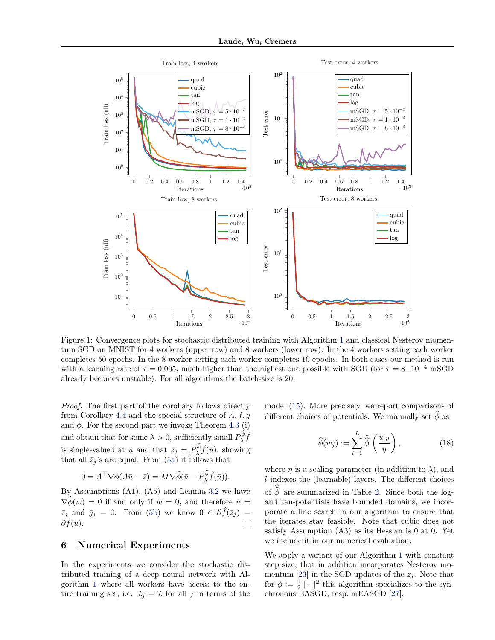<span id="page-6-0"></span>

Figure 1: Convergence plots for stochastic distributed training with Algorithm [1](#page-5-0) and classical Nesterov momentum SGD on MNIST for 4 workers (upper row) and 8 workers (lower row). In the 4 workers setting each worker completes 50 epochs. In the 8 worker setting each worker completes 10 epochs. In both cases our method is run with a learning rate of  $\tau = 0.005$ , much higher than the highest one possible with SGD (for  $\tau = 8 \cdot 10^{-4}$  mSGD already becomes unstable). For all algorithms the batch-size is 20.

Proof. The first part of the corollary follows directly from Corollary [4.4](#page-4-0) and the special structure of  $A, f, g$ and  $\phi$ . For the second part we invoke Theorem [4.3](#page-3-0) (i) and obtain that for some  $\lambda > 0$ , sufficiently small  $P_{\lambda}^{\phi} \hat{f}$ is single-valued at  $\bar{u}$  and that  $\bar{z}_j = P_\lambda^{\phi} \hat{f}(\bar{u})$ , showing that all  $\bar{z}_j$ 's are equal. From [\(5a\)](#page-1-0) it follows that

$$
0 = A^{\top} \nabla \phi (A \bar{u} - \bar{z}) = M \nabla \widehat{\phi} (\bar{u} - P_{\lambda}^{\phi} \widehat{f}(\bar{u})).
$$

By Assumptions (A1), (A5) and Lemma [3.2](#page-2-0) we have  $\nabla \widehat{\phi}(w) = 0$  if and only if  $w = 0$ , and therefore  $\bar{u} =$  $\bar{z}_j$  and  $\bar{y}_j = 0$ . From [\(5b\)](#page-1-0) we know  $0 \in \partial \hat{f}(\bar{z}_j) =$  $\partial f(\bar{u})$ .  $\Box$ 

#### 6 Numerical Experiments

In the experiments we consider the stochastic distributed training of a deep neural network with Algorithm [1](#page-5-0) where all workers have access to the entire training set, i.e.  $\mathcal{I}_j = \mathcal{I}$  for all j in terms of the

model [\(15\)](#page-5-0). More precisely, we report comparisons of different choices of potentials. We manually set  $\widehat{\phi}$  as

$$
\widehat{\phi}(w_j) := \sum_{l=1}^{L} \widehat{\widehat{\phi}}\left(\frac{w_{jl}}{\eta}\right),\tag{18}
$$

where  $\eta$  is a scaling parameter (in addition to  $\lambda$ ), and  $l$  indexes the (learnable) layers. The different choices of  $\phi$  are summarized in Table [2.](#page-7-0) Since both the logand tan-potentials have bounded domains, we incorporate a line search in our algorithm to ensure that the iterates stay feasible. Note that cubic does not satisfy Assumption (A3) as its Hessian is 0 at 0. Yet we include it in our numerical evaluation.

We apply a variant of our Algorithm [1](#page-5-0) with constant step size, that in addition incorporates Nesterov mo-mentum [\[23\]](#page-8-0) in the SGD updates of the  $z_j$ . Note that for  $\phi := \frac{1}{2} || \cdot ||^2$  this algorithm specializes to the synchronous EASGD, resp. mEASGD [\[27\]](#page-9-0).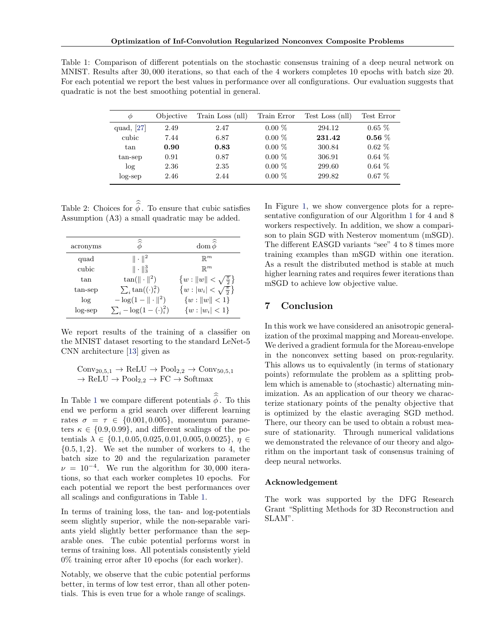<span id="page-7-0"></span>Table 1: Comparison of different potentials on the stochastic consensus training of a deep neural network on MNIST. Results after 30, 000 iterations, so that each of the 4 workers completes 10 epochs with batch size 20. For each potential we report the best values in performance over all configurations. Our evaluation suggests that quadratic is not the best smoothing potential in general.

| Φ            | Objective | Train Loss (nll) | Train Error | Test Loss (nll) | Test Error |
|--------------|-----------|------------------|-------------|-----------------|------------|
| quad, $[27]$ | 2.49      | 2.47             | $0.00\%$    | 294.12          | $0.65\%$   |
| cubic        | 7.44      | 6.87             | $0.00\%$    | 231.42          | $0.56\%$   |
| tan          | 0.90      | 0.83             | $0.00\%$    | 300.84          | $0.62\%$   |
| tan-sep      | 0.91      | 0.87             | $0.00\%$    | 306.91          | $0.64\%$   |
| log          | 2.36      | 2.35             | $0.00\%$    | 299.60          | $0.64\%$   |
| $log$ -sep   | 2.46      | 2.44             | $0.00\%$    | 299.82          | $0.67\%$   |

Table 2: Choices for  $\phi$ . To ensure that cubic satisfies Assumption (A3) a small quadratic may be added.

| acronyms   | $\widehat{\widehat{\phi}}$    | ≈<br>dom $\phi$                       |
|------------|-------------------------------|---------------------------------------|
| quad       | $\ \cdot\ ^2$                 | $\mathbb{R}^m$                        |
| cubic      | $\ \cdot\ _3^3$               | $\mathbb{R}^m$                        |
| tan        | $tan(   \cdot   ^2)$          | $\{w:   w   < \sqrt{\frac{\pi}{2}}\}$ |
| tan-sep    | $\sum_i \tan((\cdot)^2_i)$    | $\{w:  w_i  < \sqrt{\frac{\pi}{2}}\}$ |
| log        | $-\log(1 -    \cdot   ^2)$    | $\{w:   w   < 1\}$                    |
| $log$ -sep | $\sum_i -\log(1-(\cdot)_i^2)$ | $\{w:  w_i  < 1\}$                    |

We report results of the training of a classifier on the MNIST dataset resorting to the standard LeNet-5 CNN architecture [\[13\]](#page-8-0) given as

 $Conv_{20,5,1} \rightarrow \text{ReLU} \rightarrow \text{Pool}_{2,2} \rightarrow \text{Conv}_{50,5,1}$  $\rightarrow$  ReLU  $\rightarrow$  Pool<sub>2,2</sub>  $\rightarrow$  FC  $\rightarrow$  Softmax

In Table 1 we compare different potentials  $\phi$ . To this end we perform a grid search over different learning rates  $\sigma = \tau \in \{0.001, 0.005\}$ , momentum parameters  $\kappa \in \{0.9, 0.99\}$ , and different scalings of the potentials  $\lambda \in \{0.1, 0.05, 0.025, 0.01, 0.005, 0.0025\}, \eta \in$  ${0.5, 1, 2}$ . We set the number of workers to 4, the batch size to 20 and the regularization parameter  $\nu = 10^{-4}$ . We run the algorithm for 30,000 iterations, so that each worker completes 10 epochs. For each potential we report the best performances over all scalings and configurations in Table 1.

In terms of training loss, the tan- and log-potentials seem slightly superior, while the non-separable variants yield slightly better performance than the separable ones. The cubic potential performs worst in terms of training loss. All potentials consistently yield 0% training error after 10 epochs (for each worker).

Notably, we observe that the cubic potential performs better, in terms of low test error, than all other potentials. This is even true for a whole range of scalings.

In Figure [1,](#page-6-0) we show convergence plots for a representative configuration of our Algorithm [1](#page-5-0) for 4 and 8 workers respectively. In addition, we show a comparison to plain SGD with Nesterov momentum (mSGD). The different EASGD variants "see" 4 to 8 times more training examples than mSGD within one iteration. As a result the distributed method is stable at much higher learning rates and requires fewer iterations than mSGD to achieve low objective value.

### 7 Conclusion

In this work we have considered an anisotropic generalization of the proximal mapping and Moreau-envelope. We derived a gradient formula for the Moreau-envelope in the nonconvex setting based on prox-regularity. This allows us to equivalently (in terms of stationary points) reformulate the problem as a splitting problem which is amenable to (stochastic) alternating minimization. As an application of our theory we characterize stationary points of the penalty objective that is optimized by the elastic averaging SGD method. There, our theory can be used to obtain a robust measure of stationarity. Through numerical validations we demonstrated the relevance of our theory and algorithm on the important task of consensus training of deep neural networks.

#### Acknowledgement

The work was supported by the DFG Research Grant "Splitting Methods for 3D Reconstruction and SLAM".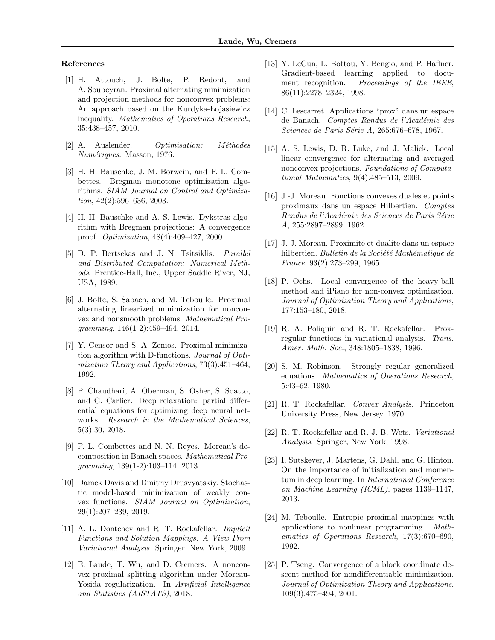#### <span id="page-8-0"></span>References

- [1] H. Attouch, J. Bolte, P. Redont, and A. Soubeyran. Proximal alternating minimization and projection methods for nonconvex problems: An approach based on the Kurdyka-Lojasiewicz inequality. Mathematics of Operations Research, 35:438–457, 2010.
- [2] A. Auslender. Optimisation: Méthodes Numériques. Masson, 1976.
- [3] H. H. Bauschke, J. M. Borwein, and P. L. Combettes. Bregman monotone optimization algorithms. SIAM Journal on Control and Optimization, 42(2):596–636, 2003.
- [4] H. H. Bauschke and A. S. Lewis. Dykstras algorithm with Bregman projections: A convergence proof. Optimization, 48(4):409–427, 2000.
- [5] D. P. Bertsekas and J. N. Tsitsiklis. Parallel and Distributed Computation: Numerical Methods. Prentice-Hall, Inc., Upper Saddle River, NJ, USA, 1989.
- [6] J. Bolte, S. Sabach, and M. Teboulle. Proximal alternating linearized minimization for nonconvex and nonsmooth problems. Mathematical Programming, 146(1-2):459–494, 2014.
- [7] Y. Censor and S. A. Zenios. Proximal minimization algorithm with D-functions. Journal of Optimization Theory and Applications, 73(3):451–464, 1992.
- [8] P. Chaudhari, A. Oberman, S. Osher, S. Soatto, and G. Carlier. Deep relaxation: partial differential equations for optimizing deep neural networks. Research in the Mathematical Sciences, 5(3):30, 2018.
- [9] P. L. Combettes and N. N. Reyes. Moreau's decomposition in Banach spaces. Mathematical Programming, 139(1-2):103–114, 2013.
- [10] Damek Davis and Dmitriy Drusvyatskiy. Stochastic model-based minimization of weakly convex functions. SIAM Journal on Optimization, 29(1):207–239, 2019.
- [11] A. L. Dontchev and R. T. Rockafellar. Implicit Functions and Solution Mappings: A View From Variational Analysis. Springer, New York, 2009.
- [12] E. Laude, T. Wu, and D. Cremers. A nonconvex proximal splitting algorithm under Moreau-Yosida regularization. In Artificial Intelligence and Statistics (AISTATS), 2018.
- [13] Y. LeCun, L. Bottou, Y. Bengio, and P. Haffner. Gradient-based learning applied to document recognition. Proceedings of the IEEE, 86(11):2278–2324, 1998.
- [14] C. Lescarret. Applications "prox" dans un espace de Banach. Comptes Rendus de l'Académie des Sciences de Paris Série A, 265:676–678, 1967.
- [15] A. S. Lewis, D. R. Luke, and J. Malick. Local linear convergence for alternating and averaged nonconvex projections. Foundations of Computational Mathematics, 9(4):485–513, 2009.
- [16] J.-J. Moreau. Fonctions convexes duales et points proximaux dans un espace Hilbertien. Comptes Rendus de l'Académie des Sciences de Paris Série A, 255:2897–2899, 1962.
- [17] J.-J. Moreau. Proximité et dualité dans un espace hilbertien. Bulletin de la Société Mathématique de France, 93(2):273–299, 1965.
- [18] P. Ochs. Local convergence of the heavy-ball method and iPiano for non-convex optimization. Journal of Optimization Theory and Applications, 177:153–180, 2018.
- [19] R. A. Poliquin and R. T. Rockafellar. Proxregular functions in variational analysis. Trans. Amer. Math. Soc., 348:1805–1838, 1996.
- [20] S. M. Robinson. Strongly regular generalized equations. Mathematics of Operations Research, 5:43–62, 1980.
- [21] R. T. Rockafellar. Convex Analysis. Princeton University Press, New Jersey, 1970.
- [22] R. T. Rockafellar and R. J.-B. Wets. Variational Analysis. Springer, New York, 1998.
- [23] I. Sutskever, J. Martens, G. Dahl, and G. Hinton. On the importance of initialization and momentum in deep learning. In International Conference on Machine Learning (ICML), pages 1139–1147, 2013.
- [24] M. Teboulle. Entropic proximal mappings with applications to nonlinear programming. Mathematics of Operations Research, 17(3):670–690, 1992.
- [25] P. Tseng. Convergence of a block coordinate descent method for nondifferentiable minimization. Journal of Optimization Theory and Applications, 109(3):475–494, 2001.